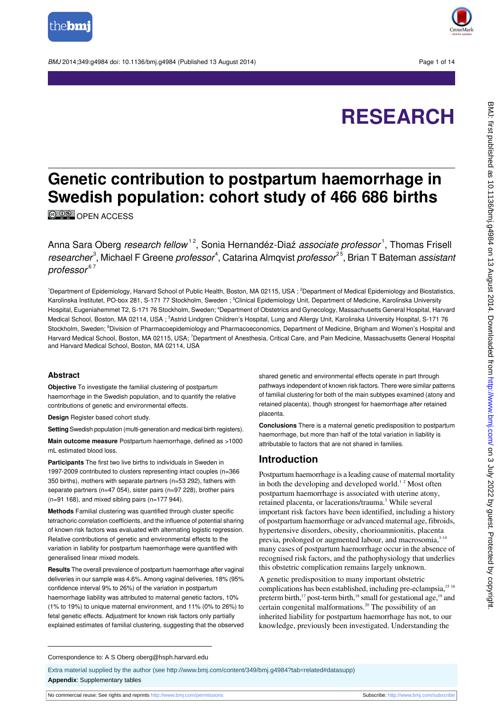

BMJ 2014:349:g4984 doi: 10.1136/bmi.g4984 (Published 13 August 2014) Page 1 of 14



# **RESEARCH**

## **Genetic contribution to postpartum haemorrhage in Swedish population: cohort study of 466 686 births**

**© 00** [OPEN ACCESS](http://creativecommons.org/licenses/by-nc/3.0/)

Anna Sara Oberg *research fellow* <sup>12</sup>, Sonia Hernandéz-Diaź *associate professor* <sup>1</sup>, Thomas Frisell researcher<sup>3</sup>, Michael F Greene *professor<sup>4</sup>,* Catarina Almqvist *professor<sup>25</sup>,* Brian T Bateman *assistan*i  $professor<sup>67</sup>$ 

<sup>1</sup>Department of Epidemiology, Harvard School of Public Health, Boston, MA 02115, USA; <sup>2</sup>Department of Medical Epidemiology and Biostatistics, Karolinska Institutet, PO-box 281, S-171 77 Stockholm, Sweden ; <sup>3</sup>Clinical Epidemiology Unit, Department of Medicine, Karolinska University Hospital, Eugeniahemmet T2, S-171 76 Stockholm, Sweden; <sup>4</sup>Department of Obstetrics and Gynecology, Massachusetts General Hospital, Harvard Medical School, Boston, MA 02114, USA ; <sup>5</sup>Astrid Lindgren Children's Hospital, Lung and Allergy Unit, Karolinska University Hospital, S-171 76 Stockholm, Sweden; <sup>6</sup>Division of Pharmacoepidemiology and Pharmacoeconomics, Department of Medicine, Brigham and Women's Hospital and Harvard Medical School, Boston, MA 02115, USA; <sup>7</sup>Department of Anesthesia, Critical Care, and Pain Medicine, Massachusetts General Hospital and Harvard Medical School, Boston, MA 02114, USA

#### **Abstract**

**Objective** To investigate the familial clustering of postpartum haemorrhage in the Swedish population, and to quantify the relative contributions of genetic and environmental effects.

**Design** Register based cohort study.

**Setting** Swedish population (multi-generation and medical birth registers).

**Main outcome measure** Postpartum haemorrhage, defined as >1000 mL estimated blood loss.

**Participants** The first two live births to individuals in Sweden in 1997-2009 contributed to clusters representing intact couples (n=366 350 births), mothers with separate partners (n=53 292), fathers with separate partners (n=47 054), sister pairs (n=97 228), brother pairs  $(n=91 168)$ , and mixed sibling pairs  $(n=177 944)$ .

**Methods** Familial clustering was quantified through cluster specific tetrachoric correlation coefficients, and the influence of potential sharing of known risk factors was evaluated with alternating logistic regression. Relative contributions of genetic and environmental effects to the variation in liability for postpartum haemorrhage were quantified with generalised linear mixed models.

**Results** The overall prevalence of postpartum haemorrhage after vaginal deliveries in our sample was 4.6%. Among vaginal deliveries, 18% (95% confidence interval 9% to 26%) of the variation in postpartum haemorrhage liability was attributed to maternal genetic factors, 10% (1% to 19%) to unique maternal environment, and 11% (0% to 26%) to fetal genetic effects. Adjustment for known risk factors only partially explained estimates of familial clustering, suggesting that the observed

shared genetic and environmental effects operate in part through pathways independent of known risk factors. There were similar patterns of familial clustering for both of the main subtypes examined (atony and retained placenta), though strongest for haemorrhage after retained placenta.

**Conclusions** There is a maternal genetic predisposition to postpartum haemorrhage, but more than half of the total variation in liability is attributable to factors that are not shared in families.

#### **Introduction**

Postpartum haemorrhage is a leading cause of maternal mortality in both the developing and developed world.<sup>12</sup> Most often postpartum haemorrhage is associated with uterine atony, retained placenta, or lacerations/trauma.<sup>3</sup> While several important risk factors have been identified, including a history of postpartum haemorrhage or advanced maternal age, fibroids, hypertensive disorders, obesity, chorioamnionitis, placenta previa, prolonged or augmented labour, and macrosomia, 3-14 many cases of postpartum haemorrhage occur in the absence of recognised risk factors, and the pathophysiology that underlies this obstetric complication remains largely unknown.

A genetic predisposition to many important obstetric complications has been established, including pre-eclampsia,<sup>15 16</sup> preterm birth,<sup>17</sup> post-term birth,<sup>18</sup> small for gestational age,<sup>19</sup> and certain congenital malformations.<sup>20</sup> The possibility of an inherited liability for postpartum haemorrhage has not, to our knowledge, previously been investigated. Understanding the

#### Correspondence to: A S Oberg oberg@hsph.harvard.edu

Extra material supplied by the author (see [http://www.bmj.com/content/349/bmj.g4984?tab=related#datasupp\)](http://www.bmj.com/content/349/bmj.g4984?tab=related#datasupp) **Appendix**: Supplementary tables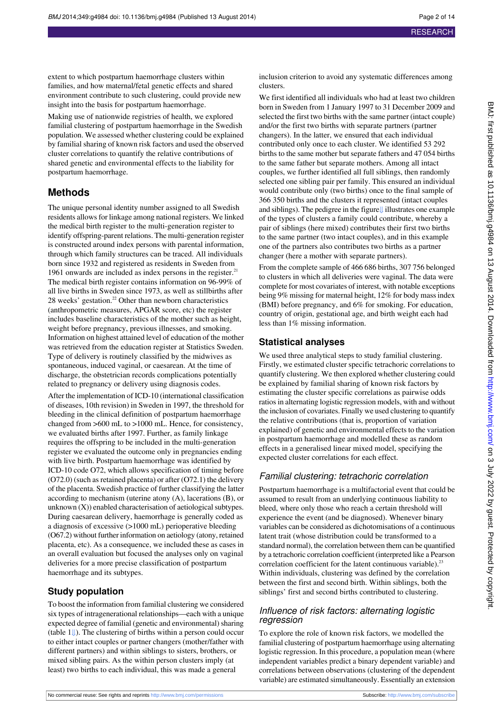extent to which postpartum haemorrhage clusters within families, and how maternal/fetal genetic effects and shared environment contribute to such clustering, could provide new insight into the basis for postpartum haemorrhage.

Making use of nationwide registries of health, we explored familial clustering of postpartum haemorrhage in the Swedish population. We assessed whether clustering could be explained by familial sharing of known risk factors and used the observed cluster correlations to quantify the relative contributions of shared genetic and environmental effects to the liability for postpartum haemorrhage.

#### **Methods**

The unique personal identity number assigned to all Swedish residents allows for linkage among national registers. We linked the medical birth register to the multi-generation register to identify offspring-parent relations. The multi-generation register is constructed around index persons with parental information, through which family structures can be traced. All individuals born since 1932 and registered as residents in Sweden from 1961 onwards are included as index persons in the register. $21$ The medical birth register contains information on 96-99% of all live births in Sweden since 1973, as well as stillbirths after 28 weeks' gestation.<sup>22</sup> Other than newborn characteristics (anthropometric measures, APGAR score, etc) the register includes baseline characteristics of the mother such as height, weight before pregnancy, previous illnesses, and smoking. Information on highest attained level of education of the mother was retrieved from the education register at Statistics Sweden. Type of delivery is routinely classified by the midwives as spontaneous, induced vaginal, or caesarean. At the time of discharge, the obstetrician records complications potentially related to pregnancy or delivery using diagnosis codes.

After the implementation of ICD-10 (international classification of diseases, 10th revision) in Sweden in 1997, the threshold for bleeding in the clinical definition of postpartum haemorrhage changed from >600 mL to >1000 mL. Hence, for consistency, we evaluated births after 1997. Further, as family linkage requires the offspring to be included in the multi-generation register we evaluated the outcome only in pregnancies ending with live birth. Postpartum haemorrhage was identified by ICD-10 code O72, which allows specification of timing before (O72.0) (such as retained placenta) or after (O72.1) the delivery of the placenta. Swedish practice of further classifying the latter according to mechanism (uterine atony (A), lacerations (B), or unknown (X)) enabled characterisation of aetiological subtypes. During caesarean delivery, haemorrhage is generally coded as a diagnosis of excessive (>1000 mL) perioperative bleeding (O67.2) without further information on aetiology (atony, retained placenta, etc). As a consequence, we included these as cases in an overall evaluation but focused the analyses only on vaginal deliveries for a more precise classification of postpartum haemorrhage and its subtypes.

#### **Study population**

To boost the information from familial clustering we considered six types of intragenerational relationships—each with a unique expected degree of familial (genetic and environmental) sharing (table1[⇓\)](#page-6-0). The clustering of births within a person could occur to either intact couples or partner changers (mother/father with different partners) and within siblings to sisters, brothers, or mixed sibling pairs. As the within person clusters imply (at least) two births to each individual, this was made a general

inclusion criterion to avoid any systematic differences among clusters.

We first identified all individuals who had at least two children born in Sweden from 1 January 1997 to 31 December 2009 and selected the first two births with the same partner (intact couple) and/or the first two births with separate partners (partner changers). In the latter, we ensured that each individual contributed only once to each cluster. We identified 53 292 births to the same mother but separate fathers and 47 054 births to the same father but separate mothers. Among all intact couples, we further identified all full siblings, then randomly selected one sibling pair per family. This ensured an individual would contribute only (two births) once to the final sample of 366 350 births and the clusters it represented (intact couples and siblings). The pedigree in the figur[e⇓](#page-13-0) illustrates one example of the types of clusters a family could contribute, whereby a pair of siblings (here mixed) contributes their first two births to the same partner (two intact couples), and in this example one of the partners also contributes two births as a partner changer (here a mother with separate partners).

From the complete sample of 466 686 births, 307 756 belonged to clusters in which all deliveries were vaginal. The data were complete for most covariates of interest, with notable exceptions being 9% missing for maternal height, 12% for body mass index (BMI) before pregnancy, and 6% for smoking. For education, country of origin, gestational age, and birth weight each had less than 1% missing information.

#### **Statistical analyses**

We used three analytical steps to study familial clustering. Firstly, we estimated cluster specific tetrachoric correlations to quantify clustering. We then explored whether clustering could be explained by familial sharing of known risk factors by estimating the cluster specific correlations as pairwise odds ratios in alternating logistic regression models, with and without the inclusion of covariates. Finally we used clustering to quantify the relative contributions (that is, proportion of variation explained) of genetic and environmental effects to the variation in postpartum haemorrhage and modelled these as random effects in a generalised linear mixed model, specifying the expected cluster correlations for each effect.

#### Familial clustering: tetrachoric correlation

Postpartum haemorrhage is a multifactorial event that could be assumed to result from an underlying continuous liability to bleed, where only those who reach a certain threshold will experience the event (and be diagnosed). Whenever binary variables can be considered as dichotomisations of a continuous latent trait (whose distribution could be transformed to a standard normal), the correlation between them can be quantified by a tetrachoric correlation coefficient (interpreted like a Pearson correlation coefficient for the latent continuous variable). $^{23}$ Within individuals, clustering was defined by the correlation between the first and second birth. Within siblings, both the siblings' first and second births contributed to clustering.

#### Influence of risk factors: alternating logistic regression

To explore the role of known risk factors, we modelled the familial clustering of postpartum haemorrhage using alternating logistic regression. In this procedure, a population mean (where independent variables predict a binary dependent variable) and correlations between observations (clustering of the dependent variable) are estimated simultaneously. Essentially an extension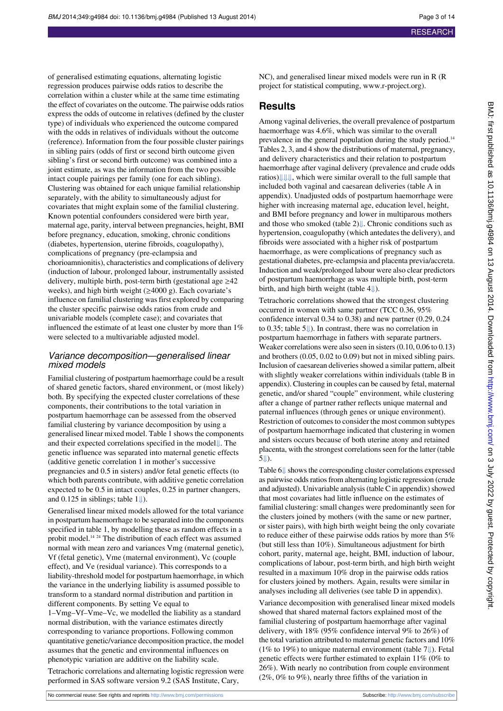of generalised estimating equations, alternating logistic regression produces pairwise odds ratios to describe the correlation within a cluster while at the same time estimating the effect of covariates on the outcome. The pairwise odds ratios express the odds of outcome in relatives (defined by the cluster type) of individuals who experienced the outcome compared with the odds in relatives of individuals without the outcome (reference). Information from the four possible cluster pairings in sibling pairs (odds of first or second birth outcome given sibling's first or second birth outcome) was combined into a joint estimate, as was the information from the two possible intact couple pairings per family (one for each sibling). Clustering was obtained for each unique familial relationship separately, with the ability to simultaneously adjust for covariates that might explain some of the familial clustering. Known potential confounders considered were birth year, maternal age, parity, interval between pregnancies, height, BMI before pregnancy, education, smoking, chronic conditions (diabetes, hypertension, uterine fibroids, coagulopathy), complications of pregnancy (pre-eclampsia and chorioamnionitis), characteristics and complications of delivery (induction of labour, prolonged labour, instrumentally assisted delivery, multiple birth, post-term birth (gestational age  $\geq 42$ weeks), and high birth weight (≥4000 g). Each covariate's influence on familial clustering was first explored by comparing the cluster specific pairwise odds ratios from crude and univariable models (complete case); and covariates that influenced the estimate of at least one cluster by more than 1% were selected to a multivariable adjusted model.

#### Variance decomposition—generalised linear mixed models

Familial clustering of postpartum haemorrhage could be a result of shared genetic factors, shared environment, or (most likely) both. By specifying the expected cluster correlations of these components, their contributions to the total variation in postpartum haemorrhage can be assessed from the observed familial clustering by variance decomposition by using a generalised linear mixed model. Table 1 shows the components and their expected correlations specified in the model[⇓.](#page-6-0) The genetic influence was separated into maternal genetic effects (additive genetic correlation 1 in mother's successive pregnancies and 0.5 in sisters) and/or fetal genetic effects (to which both parents contribute, with additive genetic correlation expected to be 0.5 in intact couples, 0.25 in partner changers, and 0.125 in siblings; table  $1 \downarrow$ ).

Generalised linear mixed models allowed for the total variance in postpartum haemorrhage to be separated into the components specified in table 1, by modelling these as random effects in a probit model.<sup>14 24</sup> The distribution of each effect was assumed normal with mean zero and variances Vmg (maternal genetic), Vf (fetal genetic), Vme (maternal environment), Vc (couple effect), and Ve (residual variance). This corresponds to a liability-threshold model for postpartum haemorrhage, in which the variance in the underlying liability is assumed possible to transform to a standard normal distribution and partition in different components. By setting Ve equal to

1–Vmg–Vf–Vme–Vc, we modelled the liability as a standard normal distribution, with the variance estimates directly corresponding to variance proportions. Following common quantitative genetic/variance decomposition practice, the model assumes that the genetic and environmental influences on phenotypic variation are additive on the liability scale.

Tetrachoric correlations and alternating logistic regression were performed in SAS software version 9.2 (SAS Institute, Cary,

NC), and generalised linear mixed models were run in R (R project for statistical computing, [www.r-project.org](http://www.r-project.org/)).

#### **Results**

Among vaginal deliveries, the overall prevalence of postpartum haemorrhage was 4.6%, which was similar to the overall prevalence in the general population during the study period.<sup>14</sup> Tables 2, 3, and 4 show the distributions of maternal, pregnancy, and delivery characteristics and their relation to postpartum haemorrhage after vaginal delivery (prevalence and crude odds ratios[\)⇓](#page-7-0)[⇓](#page-8-0)[⇓,](#page-9-0) which were similar overall to the full sample that included both vaginal and caesarean deliveries (table A in appendix). Unadjusted odds of postpartum haemorrhage were higher with increasing maternal age, education level, height, and BMI before pregnancy and lower in multiparous mothers and those who smoked (table2[\)⇓](#page-7-0). Chronic conditions such as hypertension, coagulopathy (which antedates the delivery), and fibroids were associated with a higher risk of postpartum haemorrhage, as were complications of pregnancy such as gestational diabetes, pre-eclampsia and placenta previa/accreta. Induction and weak/prolonged labour were also clear predictors of postpartum haemorrhage as was multiple birth, post-term birth, and high birth weight (table [4⇓](#page-9-0)).

Tetrachoric correlations showed that the strongest clustering occurred in women with same partner (TCC 0.36, 95% confidence interval 0.34 to 0.38) and new partner (0.29, 0.24 to 0.35; table [5⇓\)](#page-10-0). In contrast, there was no correlation in postpartum haemorrhage in fathers with separate partners. Weaker correlations were also seen in sisters (0.10, 0.06 to 0.13) and brothers (0.05, 0.02 to 0.09) but not in mixed sibling pairs. Inclusion of caesarean deliveries showed a similar pattern, albeit with slightly weaker correlations within individuals (table B in appendix). Clustering in couples can be caused by fetal, maternal genetic, and/or shared "couple" environment, while clustering after a change of partner rather reflects unique maternal and paternal influences (through genes or unique environment). Restriction of outcomes to consider the most common subtypes of postpartum haemorrhage indicated that clustering in women and sisters occurs because of both uterine atony and retained placenta, with the strongest correlations seen for the latter (table [5⇓](#page-10-0)).

Table6[⇓](#page-11-0) shows the corresponding cluster correlations expressed as pairwise odds ratios from alternating logistic regression (crude and adjusted). Univariable analysis (table C in appendix) showed that most covariates had little influence on the estimates of familial clustering: small changes were predominantly seen for the clusters joined by mothers (with the same or new partner, or sister pairs), with high birth weight being the only covariate to reduce either of these pairwise odds ratios by more than 5% (but still less than 10%). Simultaneous adjustment for birth cohort, parity, maternal age, height, BMI, induction of labour, complications of labour, post-term birth, and high birth weight resulted in a maximum 10% drop in the pairwise odds ratios for clusters joined by mothers. Again, results were similar in analyses including all deliveries (see table D in appendix).

Variance decomposition with generalised linear mixed models showed that shared maternal factors explained most of the familial clustering of postpartum haemorrhage after vaginal delivery, with 18% (95% confidence interval 9% to 26%) of the total variation attributed to maternal genetic factors and 10% (1% to 19%) to unique maternal environment (table [7⇓](#page-12-0)). Fetal genetic effects were further estimated to explain 11% (0% to 26%). With nearly no contribution from couple environment (2%, 0% to 9%), nearly three fifths of the variation in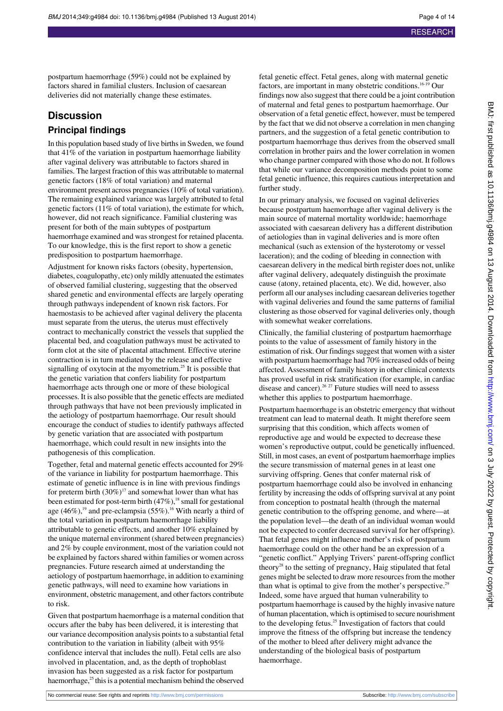postpartum haemorrhage (59%) could not be explained by factors shared in familial clusters. Inclusion of caesarean deliveries did not materially change these estimates.

#### **Discussion**

#### **Principal findings**

In this population based study of live births in Sweden, we found that 41% of the variation in postpartum haemorrhage liability after vaginal delivery was attributable to factors shared in families. The largest fraction of this was attributable to maternal genetic factors (18% of total variation) and maternal environment present across pregnancies (10% of total variation). The remaining explained variance was largely attributed to fetal genetic factors (11% of total variation), the estimate for which, however, did not reach significance. Familial clustering was present for both of the main subtypes of postpartum haemorrhage examined and was strongest for retained placenta. To our knowledge, this is the first report to show a genetic predisposition to postpartum haemorrhage.

Adjustment for known risks factors (obesity, hypertension, diabetes, coagulopathy, etc) only mildly attenuated the estimates of observed familial clustering, suggesting that the observed shared genetic and environmental effects are largely operating through pathways independent of known risk factors. For haemostasis to be achieved after vaginal delivery the placenta must separate from the uterus, the uterus must effectively contract to mechanically constrict the vessels that supplied the placental bed, and coagulation pathways must be activated to form clot at the site of placental attachment. Effective uterine contraction is in turn mediated by the release and effective signalling of oxytocin at the myometrium.<sup>25</sup> It is possible that the genetic variation that confers liability for postpartum haemorrhage acts through one or more of these biological processes. It is also possible that the genetic effects are mediated through pathways that have not been previously implicated in the aetiology of postpartum haemorrhage. Our result should encourage the conduct of studies to identify pathways affected by genetic variation that are associated with postpartum haemorrhage, which could result in new insights into the pathogenesis of this complication.

Together, fetal and maternal genetic effects accounted for 29% of the variance in liability for postpartum haemorrhage. This estimate of genetic influence is in line with previous findings for preterm birth  $(30\%)^{17}$  and somewhat lower than what has been estimated for post-term birth (47%),<sup>18</sup> small for gestational age  $(46\%)$ ,<sup>19</sup> and pre-eclampsia  $(55\%)$ .<sup>16</sup> With nearly a third of the total variation in postpartum haemorrhage liability attributable to genetic effects, and another 10% explained by the unique maternal environment (shared between pregnancies) and 2% by couple environment, most of the variation could not be explained by factors shared within families or women across pregnancies. Future research aimed at understanding the aetiology of postpartum haemorrhage, in addition to examining genetic pathways, will need to examine how variations in environment, obstetric management, and other factors contribute to risk.

Given that postpartum haemorrhage is a maternal condition that occurs after the baby has been delivered, it is interesting that our variance decomposition analysis points to a substantial fetal contribution to the variation in liability (albeit with 95% confidence interval that includes the null). Fetal cells are also involved in placentation, and, as the depth of trophoblast invasion has been suggested as a risk factor for postpartum haemorrhage,<sup>25</sup> this is a potential mechanism behind the observed

fetal genetic effect. Fetal genes, along with maternal genetic factors, are important in many obstetric conditions.<sup>16-19</sup> Our findings now also suggest that there could be a joint contribution of maternal and fetal genes to postpartum haemorrhage. Our observation of a fetal genetic effect, however, must be tempered by the fact that we did not observe a correlation in men changing partners, and the suggestion of a fetal genetic contribution to postpartum haemorrhage thus derives from the observed small correlation in brother pairs and the lower correlation in women who change partner compared with those who do not. It follows that while our variance decomposition methods point to some fetal genetic influence, this requires cautious interpretation and further study.

In our primary analysis, we focused on vaginal deliveries because postpartum haemorrhage after vaginal delivery is the main source of maternal mortality worldwide; haemorrhage associated with caesarean delivery has a different distribution of aetiologies than in vaginal deliveries and is more often mechanical (such as extension of the hysterotomy or vessel laceration); and the coding of bleeding in connection with caesarean delivery in the medical birth register does not, unlike after vaginal delivery, adequately distinguish the proximate cause (atony, retained placenta, etc). We did, however, also perform all our analyses including caesarean deliveries together with vaginal deliveries and found the same patterns of familial clustering as those observed for vaginal deliveries only, though with somewhat weaker correlations.

Clinically, the familial clustering of postpartum haemorrhage points to the value of assessment of family history in the estimation of risk. Our findings suggest that women with a sister with postpartum haemorrhage had 70% increased odds of being affected. Assessment of family history in other clinical contexts has proved useful in risk stratification (for example, in cardiac disease and cancer).<sup>26, 27</sup> Future studies will need to assess whether this applies to postpartum haemorrhage.

Postpartum haemorrhage is an obstetric emergency that without treatment can lead to maternal death. It might therefore seem surprising that this condition, which affects women of reproductive age and would be expected to decrease these women's reproductive output, could be genetically influenced. Still, in most cases, an event of postpartum haemorrhage implies the secure transmission of maternal genes in at least one surviving offspring. Genes that confer maternal risk of postpartum haemorrhage could also be involved in enhancing fertility by increasing the odds of offspring survival at any point from conception to postnatal health (through the maternal genetic contribution to the offspring genome, and where—at the population level—the death of an individual woman would not be expected to confer decreased survival for her offspring). That fetal genes might influence mother's risk of postpartum haemorrhage could on the other hand be an expression of a "genetic conflict." Applying Trivers' parent-offspring conflict theory<sup>28</sup> to the setting of pregnancy, Haig stipulated that fetal genes might be selected to draw more resources from the mother than what is optimal to give from the mother's perspective.<sup>29</sup> Indeed, some have argued that human vulnerability to postpartum haemorrhage is caused by the highly invasive nature of human placentation, which is optimised to secure nourishment to the developing fetus.<sup>25</sup> Investigation of factors that could improve the fitness of the offspring but increase the tendency of the mother to bleed after delivery might advance the understanding of the biological basis of postpartum haemorrhage.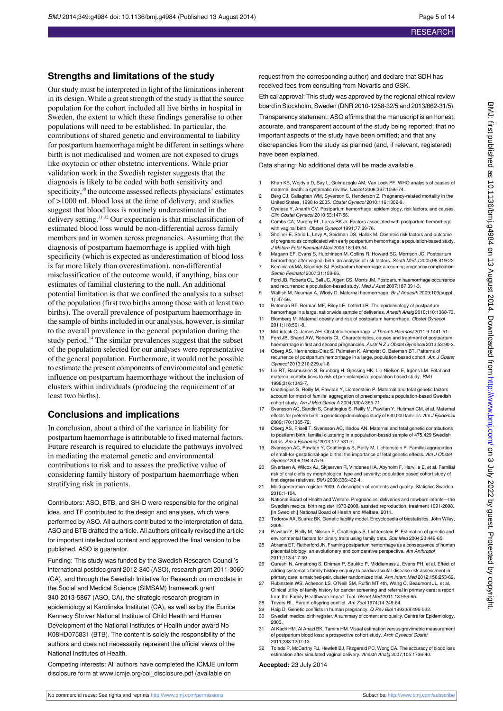#### **Strengths and limitations of the study**

Our study must be interpreted in light of the limitations inherent in its design. While a great strength of the study is that the source population for the cohort included all live births in hospital in Sweden, the extent to which these findings generalise to other populations will need to be established. In particular, the contributions of shared genetic and environmental to liability for postpartum haemorrhage might be different in settings where birth is not medicalised and women are not exposed to drugs like oxytocin or other obstetric interventions. While prior validation work in the Swedish register suggests that the diagnosis is likely to be coded with both sensitivity and specificity, $30$  the outcome assessed reflects physicians' estimates of >1000 mL blood loss at the time of delivery, and studies suggest that blood loss is routinely underestimated in the delivery setting.<sup>31 32</sup> Our expectation is that misclassification of estimated blood loss would be non-differential across family members and in women across pregnancies. Assuming that the diagnosis of postpartum haemorrhage is applied with high specificity (which is expected as underestimation of blood loss is far more likely than overestimation), non-differential misclassification of the outcome would, if anything, bias our estimates of familial clustering to the null. An additional potential limitation is that we confined the analysis to a subset of the population (first two births among those with at least two births). The overall prevalence of postpartum haemorrhage in the sample of births included in our analysis, however, is similar to the overall prevalence in the general population during the study period.<sup>14</sup> The similar prevalences suggest that the subset of the population selected for our analyses were representative of the general population. Furthermore, it would not be possible to estimate the present components of environmental and genetic influence on postpartum haemorrhage without the inclusion of clusters within individuals (producing the requirement of at least two births).

#### **Conclusions and implications**

In conclusion, about a third of the variance in liability for postpartum haemorrhage is attributable to fixed maternal factors. Future research is required to elucidate the pathways involved in mediating the maternal genetic and environmental contributions to risk and to assess the predictive value of considering family history of postpartum haemorrhage when stratifying risk in patients.

Contributors: ASO, BTB, and SH-D were responsible for the original idea, and TF contributed to the design and analyses, which were performed by ASO. All authors contributed to the interpretation of data. ASO and BTB drafted the article. All authors critically revised the article for important intellectual content and approved the final version to be published. ASO is guarantor.

Funding: This study was funded by the Swedish Research Council's international postdoc grant 2012-340 (ASO), research grant 2011-3060 (CA), and through the Swedish Initiative for Research on microdata in the Social and Medical Science (SIMSAM) framework grant 340-2013-5867 (ASO, CA), the strategic research program in epidemiology at Karolinska Institutet (CA), as well as by the Eunice Kennedy Shriver National Institute of Child Health and Human Development of the National Institutes of Health under award No K08HD075831 (BTB). The content is solely the responsibility of the authors and does not necessarily represent the official views of the National Institutes of Health.

Competing interests: All authors have completed the ICMJE uniform disclosure form at [www.icmje.org/coi\\_disclosure.pdf](http://www.icmje.org/coi_disclosure.pdf) (available on

request from the corresponding author) and declare that SDH has received fees from consulting from Novartis and GSK.

Ethical approval: This study was approved by the regional ethical review board in Stockholm, Sweden (DNR 2010-1258-32/5 and 2013/862-31/5). Transparency statement: ASO affirms that the manuscript is an honest, accurate, and transparent account of the study being reported; that no important aspects of the study have been omitted; and that any discrepancies from the study as planned (and, if relevant, registered) have been explained.

Data sharing: No additional data will be made available.

- 1 Khan KS, Wojdyla D, Say L, Gulmezoglu AM, Van Look PF. WHO analysis of causes of maternal death: a systematic review. Lancet 2006;367:1066-74.
- 2 Berg CJ, Callaghan WM, Syverson C, Henderson Z. Pregnancy-related mortality in the United States, 1998 to 2005. Obstet Gynecol 2010;116:1302-9.
- 3 Oyelese Y, Ananth CV. Postpartum hemorrhage: epidemiology, risk factors, and causes. Clin Obstet Gynecol 2010;53:147-56.
- 4 Combs CA, Murphy EL, Laros RK Jr. Factors associated with postpartum hemorrhage with vaginal birth. Obstet Gynecol 1991:77:69-76.
- 5 Sheiner E, Sarid L, Levy A, Seidman DS, Hallak M. Obstetric risk factors and outcome of pregnancies complicated with early postpartum hemorrhage: a population-based study. J Matern Fetal Neonatal Med 2005;18:149-54.
- 6 Magann EF, Evans S, Hutchinson M, Collins R, Howard BC, Morrison JC. Postpartum hemorrhage after vaginal birth: an analysis of risk factors. South Med J 2005;98:419-22.
- 7 Kominiarek MA, Kilpatrick SJ. Postpartum hemorrhage: a recurring pregnancy complication. Semin Perinatol 2007;31:159-66.
- 8 Ford JB, Roberts CL, Bell JC, Algert CS, Morris JM. Postpartum haemorrhage occurrence and recurrence: a population-based study. Med J Aust 2007;187:391-3. 9 Walfish M, Neuman A, Wlody D, Maternal haemorrhage. Br J Anaesth 2009:103(suppl
- 1):i47-56.
- 10 Bateman BT, Berman MF, Riley LE, Leffert LR. The epidemiology of postpartum hemorrhage in a large, nationwide sample of deliveries. Anesth Analg 2010;110:1368-73.
- 11 Blomberg M. Maternal obesity and risk of postpartum hemorrhage. Obstet Gynecol 2011;118:561-8.
- 12 McLintock C, James AH. Obstetric hemorrhage. J Thromb Haemost 2011;9:1441-51. Ford JB, Shand AW, Roberts CL. Characteristics, causes and treatment of postpartum
- haemorrhage in first and second pregnancies. Austr N Z J Obstet Gynaecol 2013;53:90-3. 14 Oberg AS, Hernandez-Diaz S, Palmsten K, Almqvist C, Bateman BT. Patterns of
- recurrence of postpartum hemorrhage in a large, population-based cohort. Am J Obstet Gynecol 2013;210:229.e1-8
- 15 Lie RT, Rasmussen S, Brunborg H, Gjessing HK, Lie-Nielsen E, Irgens LM. Fetal and maternal contributions to risk of pre-eclampsia: population based study. BMJ 1998;316:1343-7.
- 16 Cnattingius S, Reilly M, Pawitan Y, Lichtenstein P. Maternal and fetal genetic factors account for most of familial aggregation of preeclampsia: a population-based Swedish cohort study. Am J Med Genet A 2004;130A:365-71.
- 17 Svensson AC, Sandin S, Cnattingius S, Reilly M, Pawitan Y, Hultman CM, et al. Maternal effects for preterm birth: a genetic epidemiologic study of 630,000 families. Am J Epidemiol 2009;170:1365-72.
- 18 Oberg AS, Frisell T, Svensson AC, Iliadou AN. Maternal and fetal genetic contributions to postterm birth: familial clustering in a population-based sample of 475,429 Swedish births. Am J Epidemiol 2013;177:531-7.
- 19 Svensson AC, Pawitan Y, Cnattingius S, Reilly M, Lichtenstein P. Familial aggregation of small-for-gestational-age births: the importance of fetal genetic effects. Am J Obstet Gynecol 2006;194:475-9.
- 20 Sivertsen A, Wilcox AJ, Skjaerven R, Vindenes HA, Abyholm F, Harville E, et al. Familial risk of oral clefts by morphological type and severity: population based cohort study of first degree relatives. BMJ 2008;336:432-4.
- 21 Multi-generation register 2009. A description of contents and quality. Statistics Sweden, 2010:1-104.
- 22 National Board of Health and Welfare. Pregnancies, deliveries and newborn infants—the Swedish medical birth register 1973-2009, assisted reproduction, treatment 1991-2008. [In Swedish.] National Board of Health and Welfare, 2011.
- 23 Todorov AA, Suarez BK. Genetic liability model. Encyclopedia of biostatistics. John Wiley, 2005.
- 24 Pawitan Y, Reilly M, Nilsson E, Cnattingius S, Lichtenstein P. Estimation of genetic and environmental factors for binary traits using family data. Stat Med 2004;23:449-65.
- 25 Abrams ET, Rutherford JN. Framing postpartum hemorrhage as a consequence of hur placental biology: an evolutionary and comparative perspective. Am Anthropol 2011;113:417-30.
- 26 Qureshi N, Armstrong S, Dhiman P, Saukko P, Middlemass J, Evans PH, et al. Effect of adding systematic family history enquiry to cardiovascular disease risk assessment in primary care: a matched-pair, cluster randomized trial. Ann Intern Med 2012;156:253-62.
- 27 Rubinstein WS, Acheson LS, O'Neill SM, Ruffin MT 4th, Wang C, Beaumont JL, et al. Clinical utility of family history for cancer screening and referral in primary care: a report from the Family Healthware Impact Trial. Genet Med 2011;13:956-65.
- 
- 28 Trivers RL. Parent-offspring conflict. Am Zool 1974;14:249-64.<br>29 Haig D. Genetic conflicts in human pregnancy. O Rev Biol 199 29 Haig D. Genetic conflicts in human pregnancy. Q Rev Biol 1993;68:495-532.<br>30 Swedish medical birth register. A summary of content and quality. Centre for Ep
- Swedish medical birth register. A summary of content and quality. Centre for Epidemiology, 2003.
- 31 Al Kadri HM, Al Anazi BK, Tamim HM. Visual estimation versus gravimetric measurement of postpartum blood loss: a prospective cohort study. Arch Gynecol Obstet 2011;283:1207-13.
- 32 Toledo P, McCarthy RJ, Hewlett BJ, Fitzgerald PC, Wong CA. The accuracy of blood loss estimation after simulated vaginal delivery. Anesth Analg 2007;105:1736-40.

#### **Accepted:** 23 July 2014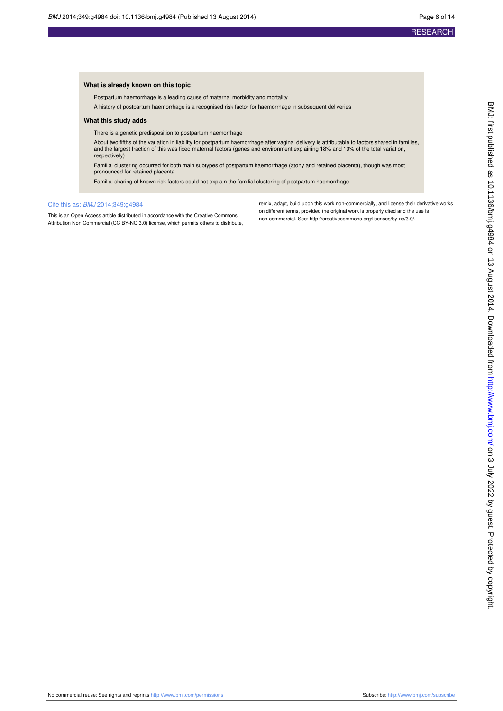#### **What is already known on this topic**

Postpartum haemorrhage is a leading cause of maternal morbidity and mortality

A history of postpartum haemorrhage is a recognised risk factor for haemorrhage in subsequent deliveries

#### **What this study adds**

There is a genetic predisposition to postpartum haemorrhage

About two fifths of the variation in liability for postpartum haemorrhage after vaginal delivery is attributable to factors shared in families, and the largest fraction of this was fixed maternal factors (genes and environment explaining 18% and 10% of the total variation, respectively)

Familial clustering occurred for both main subtypes of postpartum haemorrhage (atony and retained placenta), though was most pronounced for retained placenta

Familial sharing of known risk factors could not explain the familial clustering of postpartum haemorrhage

#### Cite this as: BMJ 2014;349:g4984

This is an Open Access article distributed in accordance with the Creative Commons Attribution Non Commercial (CC BY-NC 3.0) license, which permits others to distribute, remix, adapt, build upon this work non-commercially, and license their derivative works on different terms, provided the original work is properly cited and the use is non-commercial. See:<http://creativecommons.org/licenses/by-nc/3.0/>.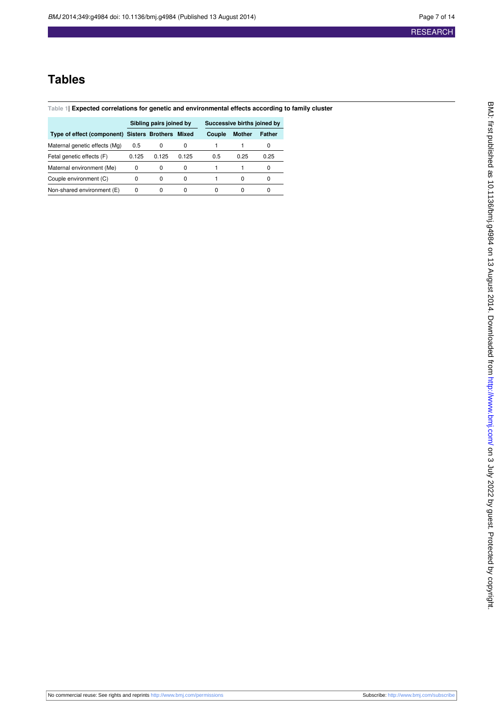## **Tables**

#### <span id="page-6-0"></span>**Table 1| Expected correlations for genetic and environmental effects according to family cluster**

|                                                   | Sibling pairs joined by |       |              | Successive births joined by |               |               |
|---------------------------------------------------|-------------------------|-------|--------------|-----------------------------|---------------|---------------|
| Type of effect (component) Sisters Brothers Mixed |                         |       |              | Couple                      | <b>Mother</b> | <b>Father</b> |
| Maternal genetic effects (Mg)                     | 0.5                     | 0     |              |                             |               | 0             |
| Fetal genetic effects (F)                         | 0.125                   | 0.125 | 0.125        | 0.5                         | 0.25          | 0.25          |
| Maternal environment (Me)                         | 0                       | 0     | 0            |                             |               | 0             |
| Couple environment (C)                            | 0                       | 0     | <sup>0</sup> |                             | O             | 0             |
| Non-shared environment (E)                        | 0                       |       |              |                             |               | 0             |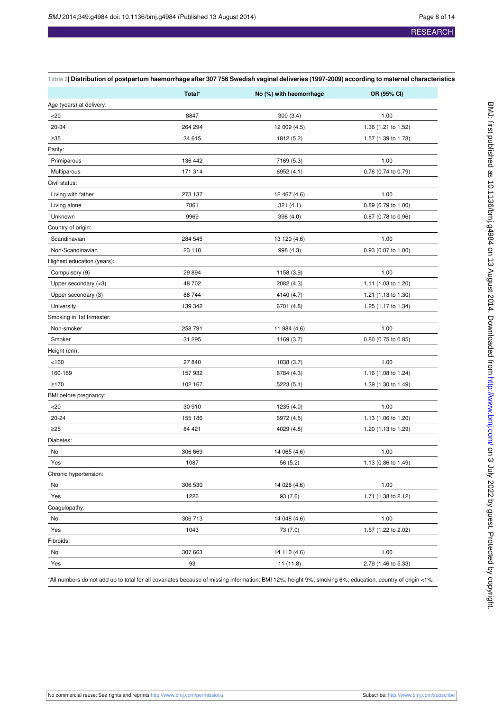| 2 Distribution of postpartum haemorrhage after 307 756 Swedish vaginal deliveries (1997-2009) according to maternal characteristics |
|-------------------------------------------------------------------------------------------------------------------------------------|

<span id="page-7-0"></span>

|                            | Total*  | No (%) with haemorrhage | OR (95% CI)         |
|----------------------------|---------|-------------------------|---------------------|
| Age (years) at delivery:   |         |                         |                     |
| $<$ 20                     | 8847    | 300(3.4)                | 1.00                |
| 20-34                      | 264 294 | 12 009 (4.5)            | 1.36 (1.21 to 1.52) |
| $\geq 35$                  | 34 615  | 1812 (5.2)              | 1.57 (1.39 to 1.78) |
| Parity:                    |         |                         |                     |
| Primiparous                | 136 442 | 7169 (5.3)              | 1.00                |
| Multiparous                | 171 314 | 6952 (4.1)              | 0.76 (0.74 to 0.79) |
| Civil status:              |         |                         |                     |
| Living with father         | 273 137 | 12 467 (4.6)            | 1.00                |
| Living alone               | 7861    | 321(4.1)                | 0.89 (0.79 to 1.00) |
| Unknown                    | 9969    | 398 (4.0)               | 0.87 (0.78 to 0.96) |
| Country of origin:         |         |                         |                     |
| Scandinavian               | 284 545 | 13 120 (4.6)            | 1.00                |
| Non-Scandinavian           | 23 118  | 998 (4.3)               | 0.93 (0.87 to 1.00) |
| Highest education (years): |         |                         |                     |
| Compulsory (9)             | 29 894  | 1158 (3.9)              | 1.00                |
| Upper secondary (<3)       | 48 702  | 2082 (4.3)              | 1.11 (1.03 to 1.20) |
| Upper secondary (3)        | 88744   | 4140 (4.7)              | 1.21 (1.13 to 1.30) |
| University                 | 139 342 | 6701 (4.8)              | 1.25 (1.17 to 1.34) |
| Smoking in 1st trimester:  |         |                         |                     |
| Non-smoker                 | 258 791 | 11 984 (4.6)            | 1.00                |
| Smoker                     | 31 295  | 1169 (3.7)              | 0.80 (0.75 to 0.85) |
| Height (cm):               |         |                         |                     |
| < 160                      | 27 840  | 1038 (3.7)              | 1.00                |
| 160-169                    | 157 932 | 6784 (4.3)              | 1.16 (1.08 to 1.24) |
| ≥170                       | 102 167 | 5223(5.1)               | 1.39 (1.30 to 1.49) |
| BMI before pregnancy:      |         |                         |                     |
| $<$ 20                     | 30 910  | 1235 (4.0)              | 1.00                |
| $20 - 24$                  | 155 186 | 6972 (4.5)              | 1.13 (1.06 to 1.20) |
| $\geq$ 25                  | 84 421  | 4029 (4.8)              | 1.20 (1.13 to 1.29) |
| Diabetes:                  |         |                         |                     |
| No                         | 306 669 | 14 065 (4.6)            | 1.00                |
| Yes                        | 1087    | 56 (5.2)                | 1.13 (0.86 to 1.49) |
| Chronic hypertension:      |         |                         |                     |
| No                         | 306 530 | 14 028 (4.6)            | 1.00                |
| Yes                        | 1226    | 93(7.6)                 | 1.71 (1.38 to 2.12) |
| Coagulopathy:              |         |                         |                     |
| No                         | 306 713 | 14 048 (4.6)            | 1.00                |
| Yes                        | 1043    | 73 (7.0)                | 1.57 (1.22 to 2.02) |
| Fibroids:                  |         |                         |                     |
| No                         | 307 663 | 14 110 (4.6)            | 1.00                |
| Yes                        | 93      | 11(11.8)                | 2.79 (1.46 to 5.33) |

\*All numbers do not add up to total for all covariates because of missing information: BMI 12%; height 9%; smoking 6%; education, country of origin <1%.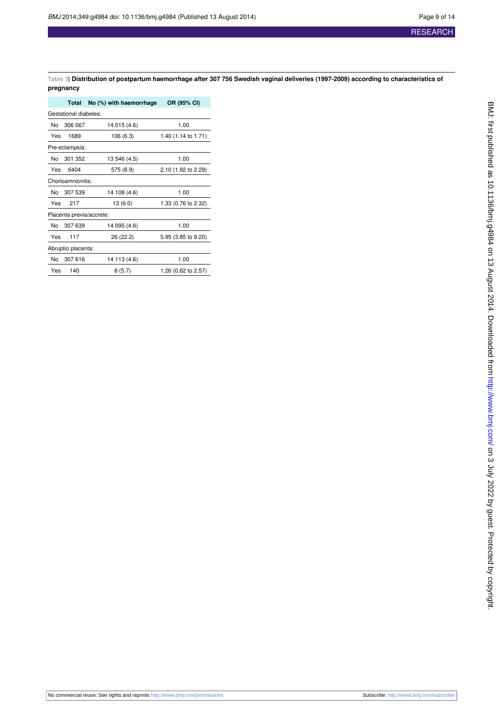<span id="page-8-0"></span>**Table 3| Distribution of postpartum haemorrhage after 307 756 Swedish vaginal deliveries (1997-2009) according to characteristics of pregnancy**

|     | Total                    | No (%) with haemorrhage | OR (95% CI)         |
|-----|--------------------------|-------------------------|---------------------|
|     | Gestational diabetes:    |                         |                     |
| No. | 306 067                  | 14 015 (4.6)            | 1.00                |
| Yes | 1689                     | 106 (6.3)               | 1.40 (1.14 to 1.71) |
|     | Pre-eclampsia:           |                         |                     |
| No  | 301 352                  | 13 546 (4.5)            | 1.00                |
| Yes | 6404                     | 575 (8.9)               | 2.10 (1.92 to 2.29) |
|     | Chorioamnionitis:        |                         |                     |
| No  | 307 539                  | 14 108 (4.6)            | 1.00                |
| Yes | 217                      | 13(6.0)                 | 1.33 (0.76 to 2.32) |
|     | Placenta previa/accrete: |                         |                     |
| No  | 307 639                  | 14 095 (4.6)            | 1.00                |
| Yes | 117                      | 26 (22.2)               | 5.95 (3.85 to 9.20) |
|     | Abruptio placenta:       |                         |                     |
| No. | 307 616                  | 14 113 (4.6)            | 1.00                |
| Yes | 140                      | 8(5.7)                  | 1.26 (0.62 to 2.57) |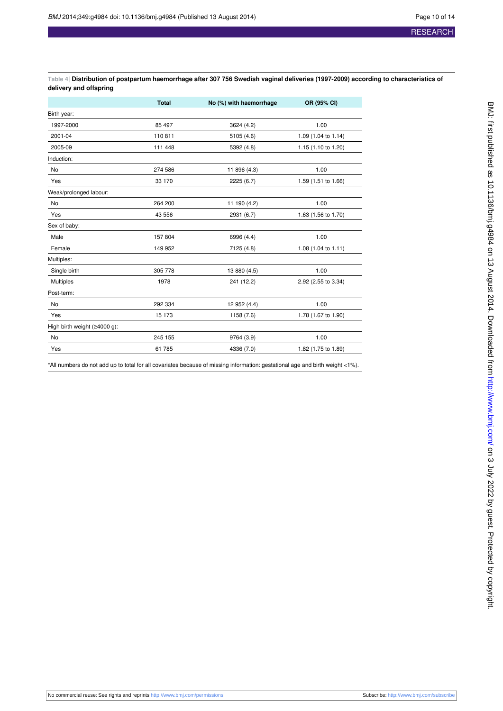<span id="page-9-0"></span>**Table 4| Distribution of postpartum haemorrhage after 307 756 Swedish vaginal deliveries (1997-2009) according to characteristics of delivery and offspring**

|                                             | <b>Total</b> | No (%) with haemorrhage | OR (95% CI)         |
|---------------------------------------------|--------------|-------------------------|---------------------|
| Birth year:                                 |              |                         |                     |
| 1997-2000                                   | 85 497       | 3624 (4.2)              | 1.00                |
| 2001-04                                     | 110811       | 5105 (4.6)              | 1.09 (1.04 to 1.14) |
| 2005-09                                     | 111 448      | 5392 (4.8)              | 1.15 (1.10 to 1.20) |
| Induction:                                  |              |                         |                     |
| No                                          | 274 586      | 11 896 (4.3)            | 1.00                |
| Yes                                         | 33 170       | 2225 (6.7)              | 1.59 (1.51 to 1.66) |
| Weak/prolonged labour:                      |              |                         |                     |
| No                                          | 264 200      | 11 190 (4.2)            | 1.00                |
| Yes                                         | 43 556       | 2931 (6.7)              | 1.63 (1.56 to 1.70) |
| Sex of baby:                                |              |                         |                     |
| Male                                        | 157 804      | 6996 (4.4)              | 1.00                |
| Female                                      | 149 952      | 7125 (4.8)              | 1.08 (1.04 to 1.11) |
| Multiples:                                  |              |                         |                     |
| Single birth                                | 305 778      | 13 880 (4.5)            | 1.00                |
| <b>Multiples</b>                            | 1978         | 241 (12.2)              | 2.92 (2.55 to 3.34) |
| Post-term:                                  |              |                         |                     |
| No                                          | 292 334      | 12 952 (4.4)            | 1.00                |
| Yes                                         | 15 173       | 1158 (7.6)              | 1.78 (1.67 to 1.90) |
| High birth weight $(\geq 4000 \text{ g})$ : |              |                         |                     |
| No                                          | 245 155      | 9764 (3.9)              | 1.00                |
| Yes                                         | 61 785       | 4336 (7.0)              | 1.82 (1.75 to 1.89) |

\*All numbers do not add up to total for all covariates because of missing information: gestational age and birth weight <1%).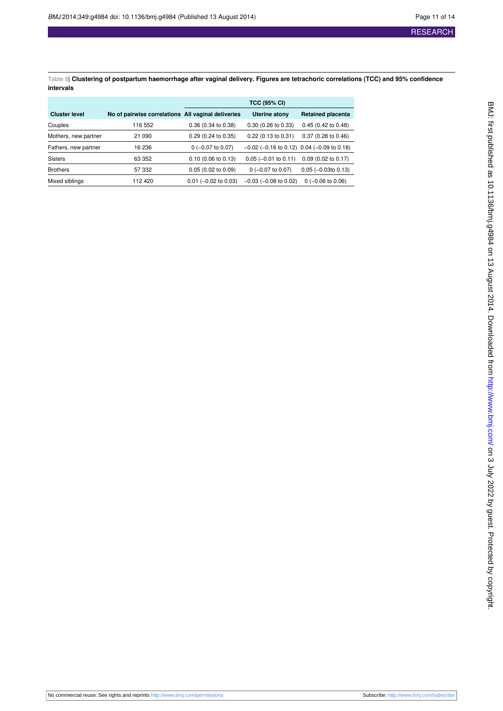<span id="page-10-0"></span>**Table 5| Clustering of postpartum haemorrhage after vaginal delivery. Figures are tetrachoric correlations (TCC) and 95% confidence intervals**

|                      |                                                    | <b>TCC (95% CI)</b>    |                                                    |                               |
|----------------------|----------------------------------------------------|------------------------|----------------------------------------------------|-------------------------------|
| <b>Cluster level</b> | No of pairwise correlations All vaginal deliveries |                        | Uterine atony                                      | <b>Retained placenta</b>      |
| Couples              | 116 552                                            | 0.36 (0.34 to 0.38)    | $0.30(0.26)$ to $0.33$                             | $0.45$ (0.42 to 0.48)         |
| Mothers, new partner | 21 090                                             | $0.29$ (0.24 to 0.35)  | $0.22$ (0.13 to 0.31)                              | $0.37(0.28 \text{ to } 0.46)$ |
| Fathers, new partner | 16 236                                             | $0$ (-0.07 to 0.07)    | $-0.02$ ( $-0.16$ to 0.12) 0.04 ( $-0.09$ to 0.18) |                               |
| <b>Sisters</b>       | 63 352                                             | $0.10$ (0.06 to 0.13)  | $0.05$ (-0.01 to 0.11)                             | $0.09$ (0.02 to 0.17)         |
| <b>Brothers</b>      | 57 332                                             | 0.05(0.02 to 0.09)     | $0$ (-0.07 to 0.07)                                | $0.05$ ( $-0.03$ to 0.13)     |
| Mixed siblings       | 112 420                                            | $0.01$ (-0.02 to 0.03) | $-0.03$ ( $-0.08$ to 0.02)                         | $0$ (-0.06 to 0.06)           |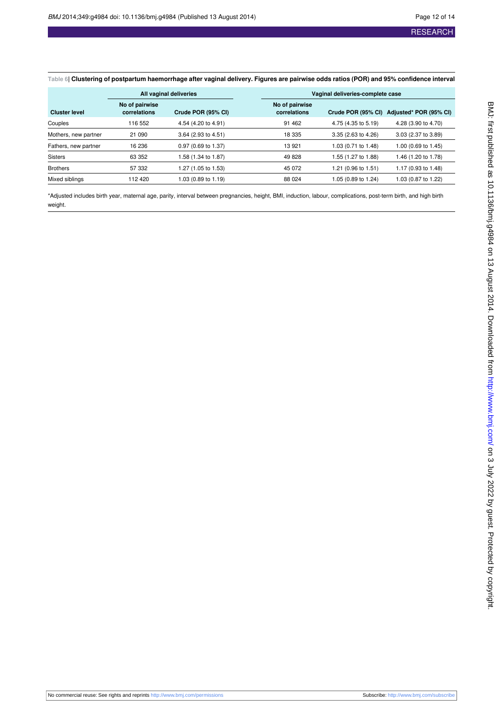#### <span id="page-11-0"></span>**Table 6| Clustering of postpartum haemorrhage after vaginal delivery. Figures are pairwise odds ratios (POR) and 95% confidence interval**

|                      | All vaginal deliveries         |                               | Vaginal deliveries-complete case |                                |                     |                        |
|----------------------|--------------------------------|-------------------------------|----------------------------------|--------------------------------|---------------------|------------------------|
| <b>Cluster level</b> | No of pairwise<br>correlations | Crude POR (95% CI)            |                                  | No of pairwise<br>correlations | Crude POR (95% CI)  | Adjusted* POR (95% CI) |
| Couples              | 116 552                        | 4.54 (4.20 to 4.91)           |                                  | 91 462                         | 4.75 (4.35 to 5.19) | 4.28 (3.90 to 4.70)    |
| Mothers, new partner | 21 090                         | 3.64 (2.93 to 4.51)           |                                  | 18 335                         | 3.35 (2.63 to 4.26) | 3.03 (2.37 to 3.89)    |
| Fathers, new partner | 16 236                         | $0.97(0.69 \text{ to } 1.37)$ |                                  | 13 9 21                        | 1.03 (0.71 to 1.48) | 1.00 (0.69 to 1.45)    |
| <b>Sisters</b>       | 63 352                         | i.58 (1.34 to 1.87)           |                                  | 49 828                         | 1.55 (1.27 to 1.88) | 1.46 (1.20 to 1.78)    |
| <b>Brothers</b>      | 57 332                         | 1.27 (1.05 to 1.53)           |                                  | 45 072                         | 1.21 (0.96 to 1.51) | 1.17 (0.93 to 1.48)    |
| Mixed siblings       | 112420                         | 1.03 (0.89 to 1.19)           |                                  | 88 0 24                        | 1.05 (0.89 to 1.24) | 1.03 (0.87 to 1.22)    |

\*Adjusted includes birth year, maternal age, parity, interval between pregnancies, height, BMI, induction, labour, complications, post-term birth, and high birth weight.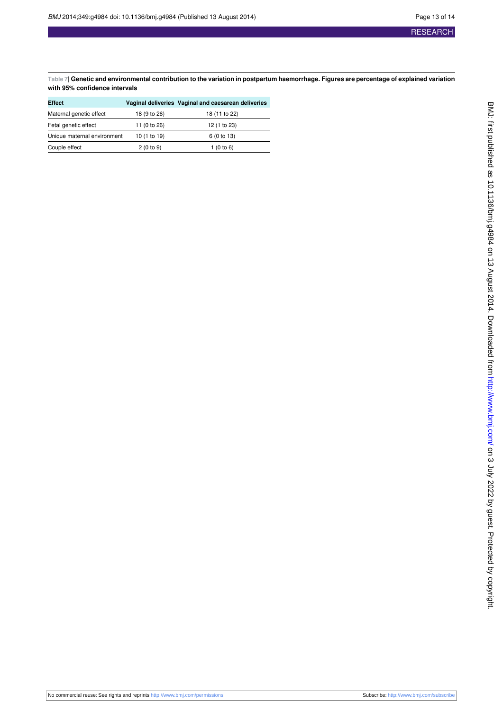<span id="page-12-0"></span>**Table 7| Genetic and environmental contribution to the variation in postpartum haemorrhage. Figures are percentage of explained variation with 95% confidence intervals**

| Effect                      |              | Vaginal deliveries Vaginal and caesarean deliveries |
|-----------------------------|--------------|-----------------------------------------------------|
| Maternal genetic effect     | 18 (9 to 26) | 18 (11 to 22)                                       |
| Fetal genetic effect        | 11 (0 to 26) | 12 (1 to 23)                                        |
| Unique maternal environment | 10 (1 to 19) | 6 (0 to 13)                                         |
| Couple effect               | 2(0 to 9)    | 1 $(0 to 6)$                                        |